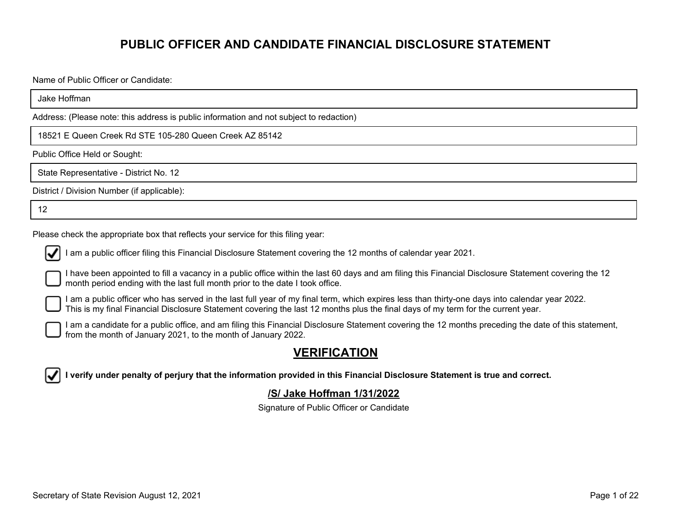# **PUBLIC OFFICER AND CANDIDATE FINANCIAL DISCLOSURE STATEMENT**

Name of Public Officer or Candidate:

Jake Hoffman

Address: (Please note: this address is public information and not subject to redaction)

18521 E Queen Creek Rd STE 105-280 Queen Creek AZ 85142

Public Office Held or Sought:

State Representative - District No. 12

District / Division Number (if applicable):

12

Please check the appropriate box that reflects your service for this filing year:



I am a public officer filing this Financial Disclosure Statement covering the 12 months of calendar year 2021.

I have been appointed to fill a vacancy in a public office within the last 60 days and am filing this Financial Disclosure Statement covering the 12 month period ending with the last full month prior to the date I took office.

I am a public officer who has served in the last full year of my final term, which expires less than thirty-one days into calendar year 2022. This is my final Financial Disclosure Statement covering the last 12 months plus the final days of my term for the current year.

I am a candidate for a public office, and am filing this Financial Disclosure Statement covering the 12 months preceding the date of this statement, from the month of January 2021, to the month of January 2022.

### **VERIFICATION**

**I verify under penalty of perjury that the information provided in this Financial Disclosure Statement is true and correct.**

#### **/S/ Jake Hoffman 1/31/2022**

Signature of Public Officer or Candidate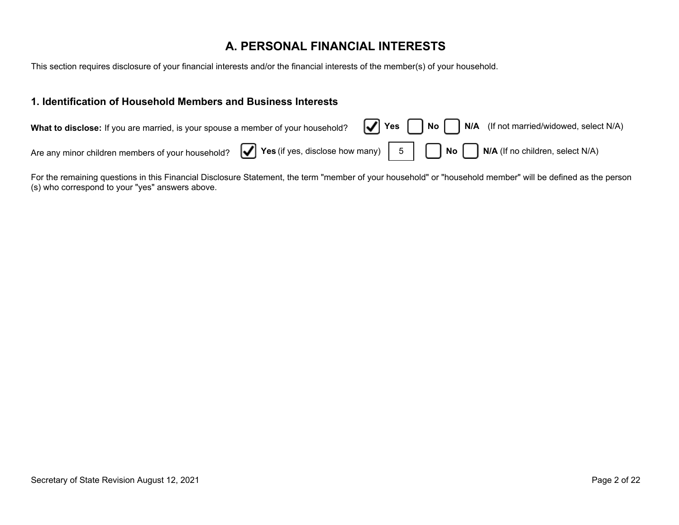## **A. PERSONAL FINANCIAL INTERESTS**

This section requires disclosure of your financial interests and/or the financial interests of the member(s) of your household.

#### **1. Identification of Household Members and Business Interests**

| What to disclose: If you are married, is your spouse a member of your household? $\boxed{\blacktriangledown}$ Yes $\boxed{\bigcap}$ No $\boxed{\bigcap}$ N/A (If not married/widowed, select N/A) |  |  |
|---------------------------------------------------------------------------------------------------------------------------------------------------------------------------------------------------|--|--|
| Are any minor children members of your household? $\bigcirc$ Yes (if yes, disclose how many) $\Big $ 5 $\Big $ $\bigcap$ No $\bigcap$ N/A (If no children, select N/A)                            |  |  |

For the remaining questions in this Financial Disclosure Statement, the term "member of your household" or "household member" will be defined as the person (s) who correspond to your "yes" answers above.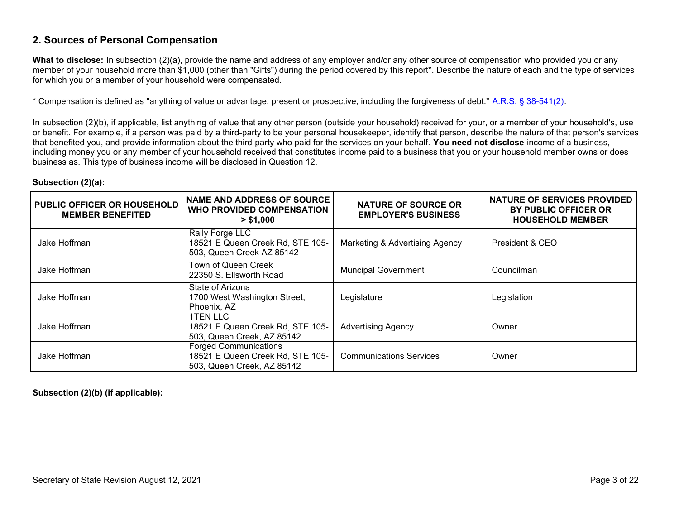#### **2. Sources of Personal Compensation**

**What to disclose:** In subsection (2)(a), provide the name and address of any employer and/or any other source of compensation who provided you or any member of your household more than \$1,000 (other than "Gifts") during the period covered by this report\*. Describe the nature of each and the type of services for which you or a member of your household were compensated.

\* Compensation is defined as "anything of value or advantage, present or prospective, including the forgiveness of debt." [A.R.S. § 38-541\(2\)](https://www.azleg.gov/viewdocument/?docName=https://www.azleg.gov/ars/38/00541.htm).

In subsection (2)(b), if applicable, list anything of value that any other person (outside your household) received for your, or a member of your household's, use or benefit. For example, if a person was paid by a third-party to be your personal housekeeper, identify that person, describe the nature of that person's services that benefited you, and provide information about the third-party who paid for the services on your behalf. **You need not disclose** income of a business, including money you or any member of your household received that constitutes income paid to a business that you or your household member owns or does business as. This type of business income will be disclosed in Question 12.

#### **Subsection (2)(a):**

| PUBLIC OFFICER OR HOUSEHOLD<br><b>MEMBER BENEFITED</b> | <b>NAME AND ADDRESS OF SOURCE</b><br><b>WHO PROVIDED COMPENSATION</b><br>> \$1,000             | <b>NATURE OF SOURCE OR</b><br><b>EMPLOYER'S BUSINESS</b> | NATURE OF SERVICES PROVIDED<br>BY PUBLIC OFFICER OR<br><b>HOUSEHOLD MEMBER</b> |
|--------------------------------------------------------|------------------------------------------------------------------------------------------------|----------------------------------------------------------|--------------------------------------------------------------------------------|
| Jake Hoffman                                           | Rally Forge LLC<br>18521 E Queen Creek Rd, STE 105-<br>503, Queen Creek AZ 85142               | Marketing & Advertising Agency                           | President & CEO                                                                |
| Jake Hoffman                                           | Town of Queen Creek<br>22350 S. Ellsworth Road                                                 | <b>Muncipal Government</b>                               | Councilman                                                                     |
| Jake Hoffman                                           | State of Arizona<br>1700 West Washington Street,<br>Phoenix, AZ                                | Legislature                                              | Legislation                                                                    |
| Jake Hoffman                                           | 1TEN LLC<br>18521 E Queen Creek Rd, STE 105-<br>503, Queen Creek, AZ 85142                     | <b>Advertising Agency</b>                                | Owner                                                                          |
| Jake Hoffman                                           | <b>Forged Communications</b><br>18521 E Queen Creek Rd, STE 105-<br>503, Queen Creek, AZ 85142 | <b>Communications Services</b>                           | Owner                                                                          |

**Subsection (2)(b) (if applicable):**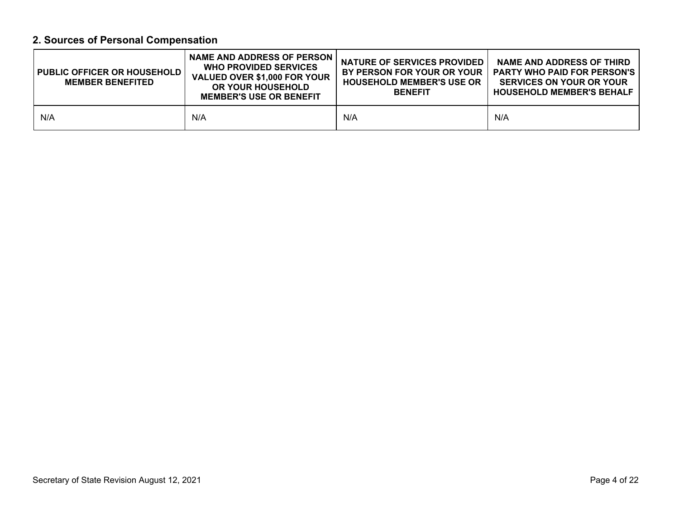# **2. Sources of Personal Compensation**

| PUBLIC OFFICER OR HOUSEHOLD  <br><b>MEMBER BENEFITED</b> | <b>NAME AND ADDRESS OF PERSON</b><br><b>WHO PROVIDED SERVICES</b><br>VALUED OVER \$1,000 FOR YOUR<br>OR YOUR HOUSEHOLD<br><b>MEMBER'S USE OR BENEFIT</b> | <b>NATURE OF SERVICES PROVIDED</b><br>BY PERSON FOR YOUR OR YOUR<br><b>HOUSEHOLD MEMBER'S USE OR</b><br><b>BENEFIT</b> | <b>NAME AND ADDRESS OF THIRD</b><br><b>PARTY WHO PAID FOR PERSON'S</b><br><b>SERVICES ON YOUR OR YOUR</b><br><b>HOUSEHOLD MEMBER'S BEHALF</b> |
|----------------------------------------------------------|----------------------------------------------------------------------------------------------------------------------------------------------------------|------------------------------------------------------------------------------------------------------------------------|-----------------------------------------------------------------------------------------------------------------------------------------------|
| N/A                                                      | N/A                                                                                                                                                      | N/A                                                                                                                    | N/A                                                                                                                                           |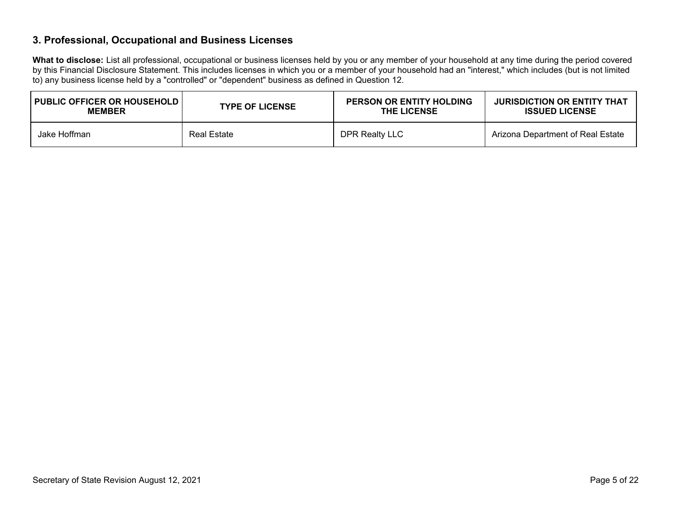#### **3. Professional, Occupational and Business Licenses**

**What to disclose:** List all professional, occupational or business licenses held by you or any member of your household at any time during the period covered by this Financial Disclosure Statement. This includes licenses in which you or a member of your household had an "interest," which includes (but is not limited to) any business license held by a "controlled" or "dependent" business as defined in Question 12.

| <b>I PUBLIC OFFICER OR HOUSEHOLD I</b> | <b>TYPE OF LICENSE</b> | <b>PERSON OR ENTITY HOLDING</b> | <b>JURISDICTION OR ENTITY THAT</b> |
|----------------------------------------|------------------------|---------------------------------|------------------------------------|
| <b>MEMBER</b>                          |                        | <b>THE LICENSE</b>              | <b>ISSUED LICENSE</b>              |
| Jake Hoffman                           | Real Estate            | DPR Realty LLC                  | Arizona Department of Real Estate  |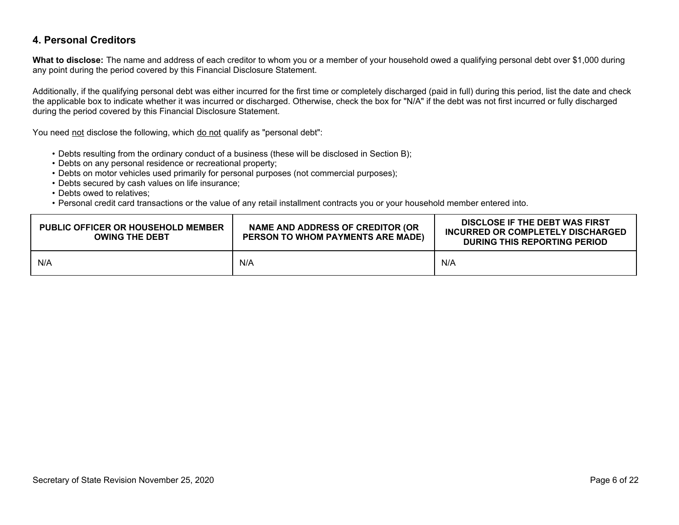#### **4. Personal Creditors**

**What to disclose:** The name and address of each creditor to whom you or a member of your household owed a qualifying personal debt over \$1,000 during any point during the period covered by this Financial Disclosure Statement.

Additionally, if the qualifying personal debt was either incurred for the first time or completely discharged (paid in full) during this period, list the date and check the applicable box to indicate whether it was incurred or discharged. Otherwise, check the box for "N/A" if the debt was not first incurred or fully discharged during the period covered by this Financial Disclosure Statement.

You need not disclose the following, which do not qualify as "personal debt":

- Debts resulting from the ordinary conduct of a business (these will be disclosed in Section B);
- Debts on any personal residence or recreational property;
- Debts on motor vehicles used primarily for personal purposes (not commercial purposes);
- Debts secured by cash values on life insurance;
- Debts owed to relatives;
- Personal credit card transactions or the value of any retail installment contracts you or your household member entered into.

| <b>PUBLIC OFFICER OR HOUSEHOLD MEMBER</b><br><b>OWING THE DEBT</b> | NAME AND ADDRESS OF CREDITOR (OR<br>PERSON TO WHOM PAYMENTS ARE MADE) | DISCLOSE IF THE DEBT WAS FIRST<br>INCURRED OR COMPLETELY DISCHARGED<br>DURING THIS REPORTING PERIOD |
|--------------------------------------------------------------------|-----------------------------------------------------------------------|-----------------------------------------------------------------------------------------------------|
| N/A                                                                | N/A                                                                   | N/A                                                                                                 |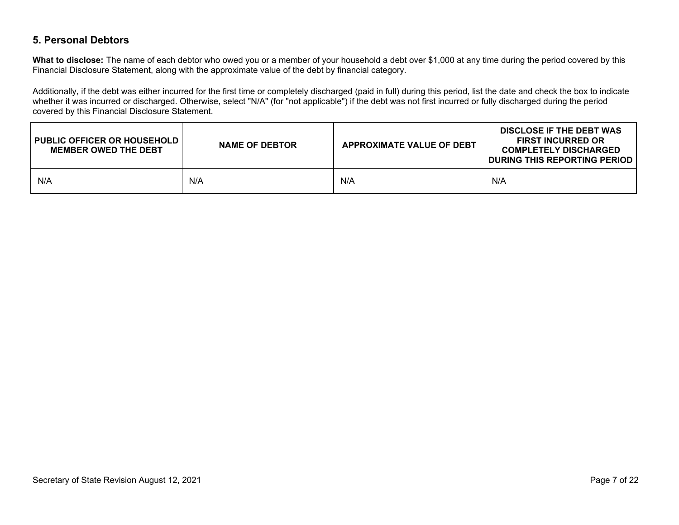#### **5. Personal Debtors**

**What to disclose:** The name of each debtor who owed you or a member of your household a debt over \$1,000 at any time during the period covered by this Financial Disclosure Statement, along with the approximate value of the debt by financial category.

Additionally, if the debt was either incurred for the first time or completely discharged (paid in full) during this period, list the date and check the box to indicate whether it was incurred or discharged. Otherwise, select "N/A" (for "not applicable") if the debt was not first incurred or fully discharged during the period covered by this Financial Disclosure Statement.

| <b>I PUBLIC OFFICER OR HOUSEHOLD I</b><br><b>MEMBER OWED THE DEBT</b> | <b>NAME OF DEBTOR</b> | <b>APPROXIMATE VALUE OF DEBT</b> | DISCLOSE IF THE DEBT WAS<br><b>FIRST INCURRED OR</b><br><b>COMPLETELY DISCHARGED</b><br>DURING THIS REPORTING PERIOD |
|-----------------------------------------------------------------------|-----------------------|----------------------------------|----------------------------------------------------------------------------------------------------------------------|
| N/A                                                                   | N/A                   | N/A                              | N/A                                                                                                                  |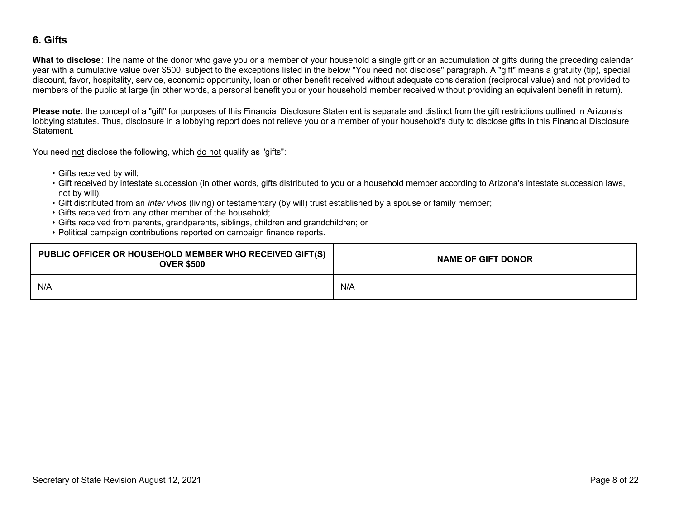#### **6. Gifts**

**What to disclose**: The name of the donor who gave you or a member of your household a single gift or an accumulation of gifts during the preceding calendar year with a cumulative value over \$500, subject to the exceptions listed in the below "You need not disclose" paragraph. A "gift" means a gratuity (tip), special discount, favor, hospitality, service, economic opportunity, loan or other benefit received without adequate consideration (reciprocal value) and not provided to members of the public at large (in other words, a personal benefit you or your household member received without providing an equivalent benefit in return).

**Please note**: the concept of a "gift" for purposes of this Financial Disclosure Statement is separate and distinct from the gift restrictions outlined in Arizona's lobbying statutes. Thus, disclosure in a lobbying report does not relieve you or a member of your household's duty to disclose gifts in this Financial Disclosure Statement.

You need not disclose the following, which do not qualify as "gifts":

- Gifts received by will;
- $\bullet$  Gift received by intestate succession (in other words, gifts distributed to you or a household member according to Arizona's intestate succession laws, not by will);
- Gift distributed from an *inter vivos* (living) or testamentary (by will) trust established by a spouse or family member;
- Gifts received from any other member of the household;
- Gifts received from parents, grandparents, siblings, children and grandchildren; or
- Political campaign contributions reported on campaign finance reports.

| PUBLIC OFFICER OR HOUSEHOLD MEMBER WHO RECEIVED GIFT(S)<br><b>OVER \$500</b> | <b>NAME OF GIFT DONOR</b> |
|------------------------------------------------------------------------------|---------------------------|
| N/A                                                                          | N/A                       |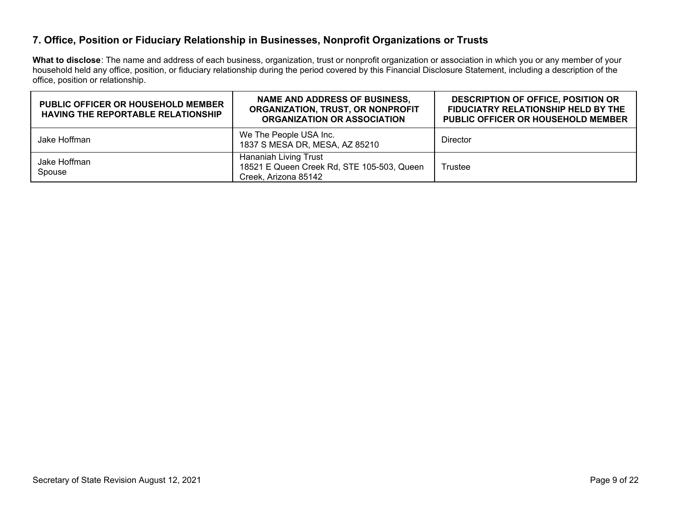#### **7. Office, Position or Fiduciary Relationship in Businesses, Nonprofit Organizations or Trusts**

**What to disclose**: The name and address of each business, organization, trust or nonprofit organization or association in which you or any member of your household held any office, position, or fiduciary relationship during the period covered by this Financial Disclosure Statement, including a description of the office, position or relationship.

| <b>PUBLIC OFFICER OR HOUSEHOLD MEMBER</b><br><b>HAVING THE REPORTABLE RELATIONSHIP</b> | <b>NAME AND ADDRESS OF BUSINESS,</b><br>ORGANIZATION, TRUST, OR NONPROFIT<br><b>ORGANIZATION OR ASSOCIATION</b> | <b>DESCRIPTION OF OFFICE, POSITION OR</b><br>FIDUCIATRY RELATIONSHIP HELD BY THE<br><b>PUBLIC OFFICER OR HOUSEHOLD MEMBER</b> |
|----------------------------------------------------------------------------------------|-----------------------------------------------------------------------------------------------------------------|-------------------------------------------------------------------------------------------------------------------------------|
| Jake Hoffman                                                                           | We The People USA Inc.<br>1837 S MESA DR, MESA, AZ 85210                                                        | <b>Director</b>                                                                                                               |
| Jake Hoffman<br>Spouse                                                                 | Hananiah Living Trust<br>18521 E Queen Creek Rd, STE 105-503, Queen<br>Creek, Arizona 85142                     | Trustee                                                                                                                       |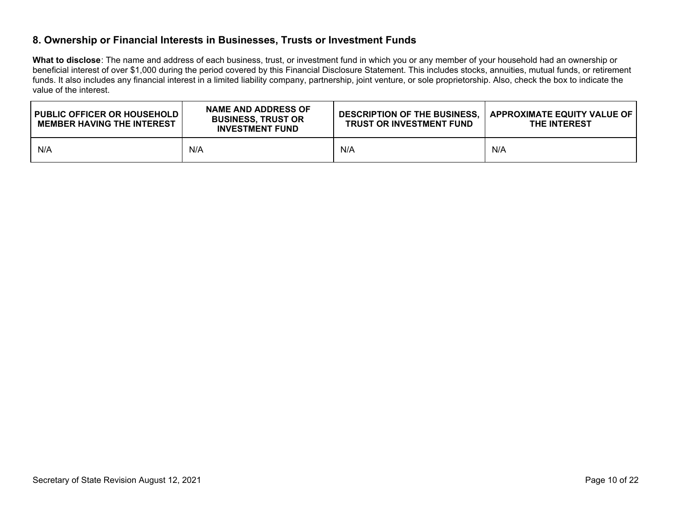#### **8. Ownership or Financial Interests in Businesses, Trusts or Investment Funds**

**What to disclose**: The name and address of each business, trust, or investment fund in which you or any member of your household had an ownership or beneficial interest of over \$1,000 during the period covered by this Financial Disclosure Statement. This includes stocks, annuities, mutual funds, or retirement funds. It also includes any financial interest in a limited liability company, partnership, joint venture, or sole proprietorship. Also, check the box to indicate the value of the interest.

| <b>PUBLIC OFFICER OR HOUSEHOLD  </b><br><b>MEMBER HAVING THE INTEREST</b> | <b>NAME AND ADDRESS OF</b><br><b>BUSINESS, TRUST OR</b><br><b>INVESTMENT FUND</b> | <b>DESCRIPTION OF THE BUSINESS.</b><br><b>TRUST OR INVESTMENT FUND</b> | APPROXIMATE EQUITY VALUE OF<br><b>THE INTEREST</b> |
|---------------------------------------------------------------------------|-----------------------------------------------------------------------------------|------------------------------------------------------------------------|----------------------------------------------------|
| N/A                                                                       | N/A                                                                               | N/A                                                                    | N/A                                                |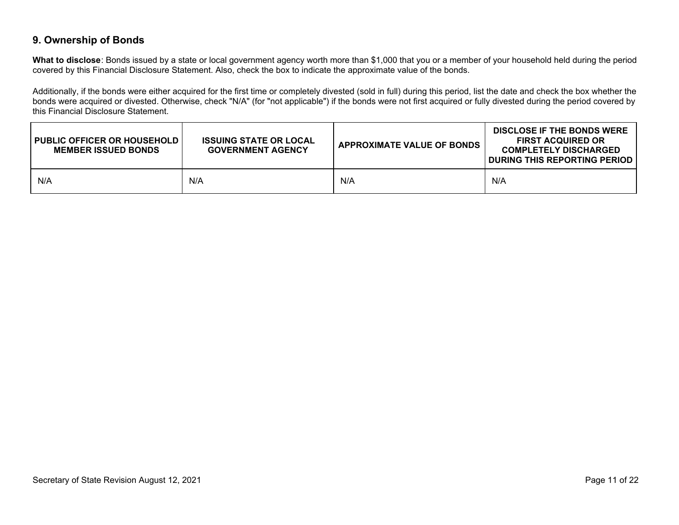#### **9. Ownership of Bonds**

**What to disclose**: Bonds issued by a state or local government agency worth more than \$1,000 that you or a member of your household held during the period covered by this Financial Disclosure Statement. Also, check the box to indicate the approximate value of the bonds.

Additionally, if the bonds were either acquired for the first time or completely divested (sold in full) during this period, list the date and check the box whether the bonds were acquired or divested. Otherwise, check "N/A" (for "not applicable") if the bonds were not first acquired or fully divested during the period covered by this Financial Disclosure Statement.

| <b>PUBLIC OFFICER OR HOUSEHOLD  </b><br><b>MEMBER ISSUED BONDS</b> | <b>ISSUING STATE OR LOCAL</b><br><b>GOVERNMENT AGENCY</b> | <b>APPROXIMATE VALUE OF BONDS</b> | <b>DISCLOSE IF THE BONDS WERE</b><br><b>FIRST ACQUIRED OR</b><br><b>COMPLETELY DISCHARGED</b><br><b>DURING THIS REPORTING PERIOD</b> |
|--------------------------------------------------------------------|-----------------------------------------------------------|-----------------------------------|--------------------------------------------------------------------------------------------------------------------------------------|
| N/A                                                                | N/A                                                       | N/A                               | N/A                                                                                                                                  |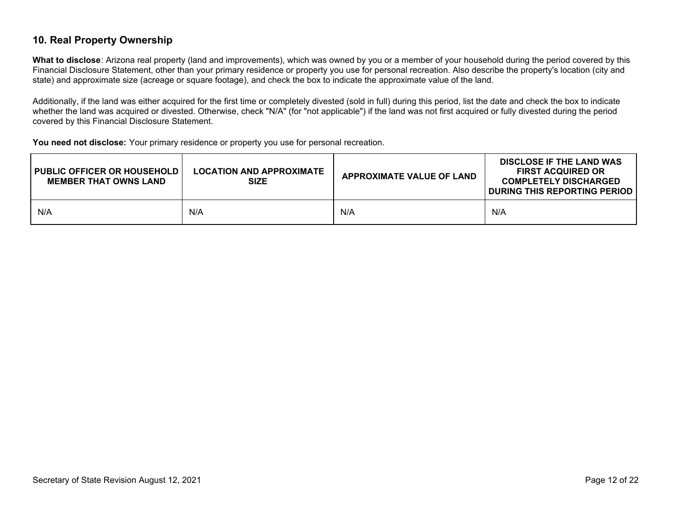#### **10. Real Property Ownership**

**What to disclose**: Arizona real property (land and improvements), which was owned by you or a member of your household during the period covered by this Financial Disclosure Statement, other than your primary residence or property you use for personal recreation. Also describe the property's location (city and state) and approximate size (acreage or square footage), and check the box to indicate the approximate value of the land.

Additionally, if the land was either acquired for the first time or completely divested (sold in full) during this period, list the date and check the box to indicate whether the land was acquired or divested. Otherwise, check "N/A" (for "not applicable") if the land was not first acquired or fully divested during the period covered by this Financial Disclosure Statement.

**You need not disclose:** Your primary residence or property you use for personal recreation.

| <b>I PUBLIC OFFICER OR HOUSEHOLD I</b><br><b>MEMBER THAT OWNS LAND</b> | LOCATION AND APPROXIMATE<br><b>SIZE</b> | <b>APPROXIMATE VALUE OF LAND</b> | <b>DISCLOSE IF THE LAND WAS</b><br><b>FIRST ACQUIRED OR</b><br><b>COMPLETELY DISCHARGED</b><br>DURING THIS REPORTING PERIOD |
|------------------------------------------------------------------------|-----------------------------------------|----------------------------------|-----------------------------------------------------------------------------------------------------------------------------|
| N/A                                                                    | N/A                                     | N/A                              | N/A                                                                                                                         |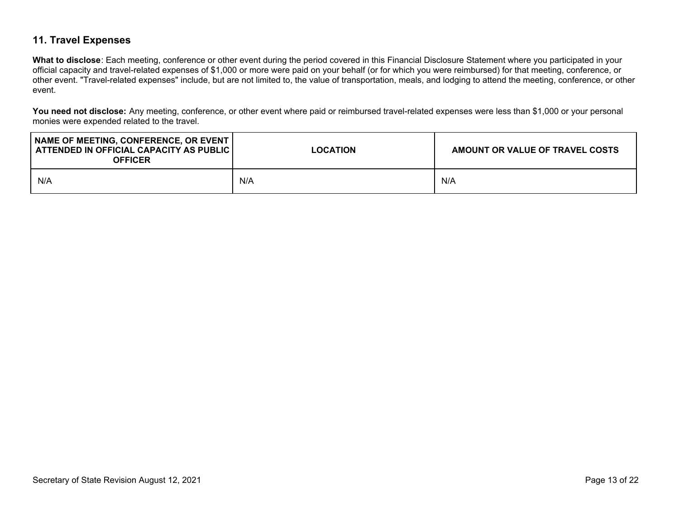### **11. Travel Expenses**

**What to disclose**: Each meeting, conference or other event during the period covered in this Financial Disclosure Statement where you participated in your official capacity and travel-related expenses of \$1,000 or more were paid on your behalf (or for which you were reimbursed) for that meeting, conference, or other event. "Travel-related expenses" include, but are not limited to, the value of transportation, meals, and lodging to attend the meeting, conference, or other event.

**You need not disclose:** Any meeting, conference, or other event where paid or reimbursed travel-related expenses were less than \$1,000 or your personal monies were expended related to the travel.

| NAME OF MEETING, CONFERENCE, OR EVENT<br>ATTENDED IN OFFICIAL CAPACITY AS PUBLIC<br><b>OFFICER</b> | <b>LOCATION</b> | AMOUNT OR VALUE OF TRAVEL COSTS |
|----------------------------------------------------------------------------------------------------|-----------------|---------------------------------|
| N/A                                                                                                | N/A             | N/A                             |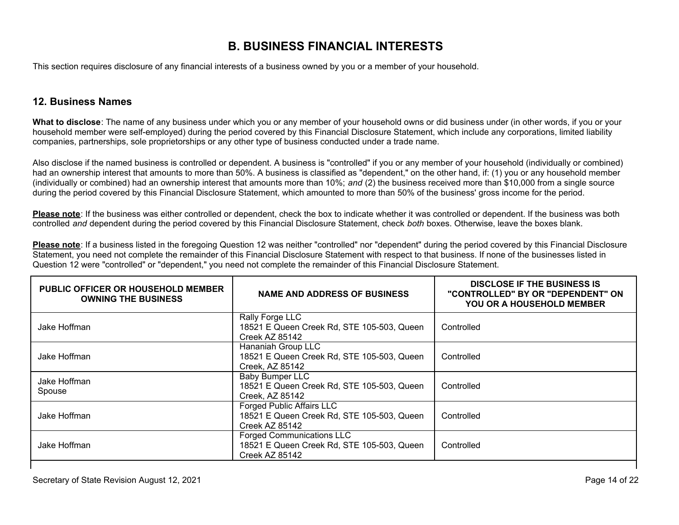## **B. BUSINESS FINANCIAL INTERESTS**

This section requires disclosure of any financial interests of a business owned by you or a member of your household.

#### **12. Business Names**

**What to disclose**: The name of any business under which you or any member of your household owns or did business under (in other words, if you or your household member were self-employed) during the period covered by this Financial Disclosure Statement, which include any corporations, limited liability companies, partnerships, sole proprietorships or any other type of business conducted under a trade name.

Also disclose if the named business is controlled or dependent. A business is "controlled" if you or any member of your household (individually or combined) had an ownership interest that amounts to more than 50%. A business is classified as "dependent," on the other hand, if: (1) you or any household member (individually or combined) had an ownership interest that amounts more than 10%; *and* (2) the business received more than \$10,000 from a single source during the period covered by this Financial Disclosure Statement, which amounted to more than 50% of the business' gross income for the period.

**Please note**: If the business was either controlled or dependent, check the box to indicate whether it was controlled or dependent. If the business was both controlled *and* dependent during the period covered by this Financial Disclosure Statement, check *both* boxes. Otherwise, leave the boxes blank.

**Please note**: If a business listed in the foregoing Question 12 was neither "controlled" nor "dependent" during the period covered by this Financial Disclosure Statement, you need not complete the remainder of this Financial Disclosure Statement with respect to that business. If none of the businesses listed in Question 12 were "controlled" or "dependent," you need not complete the remainder of this Financial Disclosure Statement.

| <b>PUBLIC OFFICER OR HOUSEHOLD MEMBER</b><br><b>OWNING THE BUSINESS</b> | <b>NAME AND ADDRESS OF BUSINESS</b>                                                              | <b>DISCLOSE IF THE BUSINESS IS</b><br>"CONTROLLED" BY OR "DEPENDENT" ON<br><b>YOU OR A HOUSEHOLD MEMBER</b> |
|-------------------------------------------------------------------------|--------------------------------------------------------------------------------------------------|-------------------------------------------------------------------------------------------------------------|
| Jake Hoffman                                                            | Rally Forge LLC<br>18521 E Queen Creek Rd, STE 105-503, Queen<br>Creek AZ 85142                  | Controlled                                                                                                  |
| Jake Hoffman                                                            | Hananiah Group LLC<br>18521 E Queen Creek Rd, STE 105-503, Queen<br>Creek, AZ 85142              | Controlled                                                                                                  |
| Jake Hoffman<br>Spouse                                                  | <b>Baby Bumper LLC</b><br>18521 E Queen Creek Rd, STE 105-503, Queen<br>Creek, AZ 85142          | Controlled                                                                                                  |
| Jake Hoffman                                                            | <b>Forged Public Affairs LLC</b><br>18521 E Queen Creek Rd, STE 105-503, Queen<br>Creek AZ 85142 | Controlled                                                                                                  |
| Jake Hoffman                                                            | <b>Forged Communications LLC</b><br>18521 E Queen Creek Rd, STE 105-503, Queen<br>Creek AZ 85142 | Controlled                                                                                                  |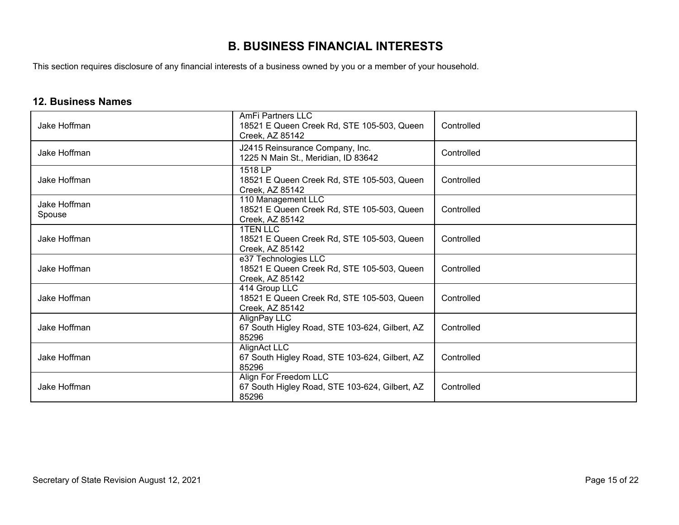# **B. BUSINESS FINANCIAL INTERESTS**

This section requires disclosure of any financial interests of a business owned by you or a member of your household.

#### **12. Business Names**

| Jake Hoffman           | <b>AmFi Partners LLC</b><br>18521 E Queen Creek Rd, STE 105-503, Queen<br>Creek, AZ 85142 | Controlled |
|------------------------|-------------------------------------------------------------------------------------------|------------|
| Jake Hoffman           | J2415 Reinsurance Company, Inc.<br>1225 N Main St., Meridian, ID 83642                    | Controlled |
| Jake Hoffman           | 1518 LP<br>18521 E Queen Creek Rd, STE 105-503, Queen<br>Creek, AZ 85142                  | Controlled |
| Jake Hoffman<br>Spouse | 110 Management LLC<br>18521 E Queen Creek Rd, STE 105-503, Queen<br>Creek, AZ 85142       | Controlled |
| Jake Hoffman           | <b>1TEN LLC</b><br>18521 E Queen Creek Rd, STE 105-503, Queen<br>Creek, AZ 85142          | Controlled |
| Jake Hoffman           | e37 Technologies LLC<br>18521 E Queen Creek Rd, STE 105-503, Queen<br>Creek, AZ 85142     | Controlled |
| Jake Hoffman           | 414 Group LLC<br>18521 E Queen Creek Rd, STE 105-503, Queen<br>Creek, AZ 85142            | Controlled |
| Jake Hoffman           | AlignPay LLC<br>67 South Higley Road, STE 103-624, Gilbert, AZ<br>85296                   | Controlled |
| Jake Hoffman           | AlignAct LLC<br>67 South Higley Road, STE 103-624, Gilbert, AZ<br>85296                   | Controlled |
| Jake Hoffman           | Align For Freedom LLC<br>67 South Higley Road, STE 103-624, Gilbert, AZ<br>85296          | Controlled |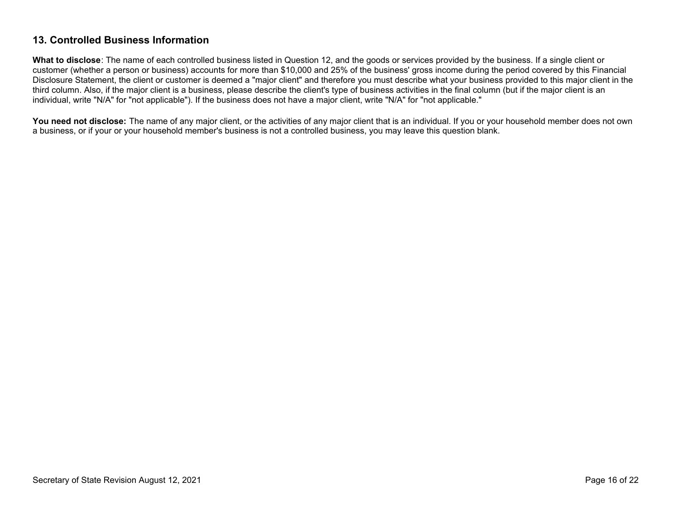#### **13. Controlled Business Information**

**What to disclose**: The name of each controlled business listed in Question 12, and the goods or services provided by the business. If a single client or customer (whether a person or business) accounts for more than \$10,000 and 25% of the business' gross income during the period covered by this Financial Disclosure Statement, the client or customer is deemed a "major client" and therefore you must describe what your business provided to this major client in the third column. Also, if the major client is a business, please describe the client's type of business activities in the final column (but if the major client is an individual, write "N/A" for "not applicable"). If the business does not have a major client, write "N/A" for "not applicable."

You need not disclose: The name of any major client, or the activities of any major client that is an individual. If you or your household member does not own a business, or if your or your household member's business is not a controlled business, you may leave this question blank.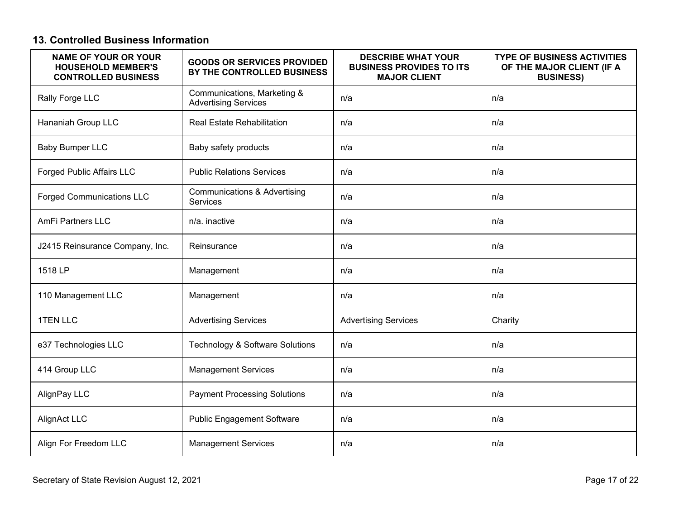### **13. Controlled Business Information**

| <b>NAME OF YOUR OR YOUR</b><br><b>HOUSEHOLD MEMBER'S</b><br><b>CONTROLLED BUSINESS</b> | <b>GOODS OR SERVICES PROVIDED</b><br>BY THE CONTROLLED BUSINESS | <b>DESCRIBE WHAT YOUR</b><br><b>BUSINESS PROVIDES TO ITS</b><br><b>MAJOR CLIENT</b> | <b>TYPE OF BUSINESS ACTIVITIES</b><br>OF THE MAJOR CLIENT (IF A<br><b>BUSINESS)</b> |
|----------------------------------------------------------------------------------------|-----------------------------------------------------------------|-------------------------------------------------------------------------------------|-------------------------------------------------------------------------------------|
| Rally Forge LLC                                                                        | Communications, Marketing &<br><b>Advertising Services</b>      | n/a                                                                                 | n/a                                                                                 |
| Hananiah Group LLC                                                                     | <b>Real Estate Rehabilitation</b>                               | n/a                                                                                 | n/a                                                                                 |
| <b>Baby Bumper LLC</b>                                                                 | Baby safety products                                            | n/a                                                                                 | n/a                                                                                 |
| <b>Forged Public Affairs LLC</b>                                                       | <b>Public Relations Services</b>                                | n/a                                                                                 | n/a                                                                                 |
| <b>Forged Communications LLC</b>                                                       | <b>Communications &amp; Advertising</b><br>Services             | n/a                                                                                 | n/a                                                                                 |
| <b>AmFi Partners LLC</b>                                                               | n/a. inactive                                                   | n/a                                                                                 | n/a                                                                                 |
| J2415 Reinsurance Company, Inc.                                                        | Reinsurance                                                     | n/a                                                                                 | n/a                                                                                 |
| 1518 LP                                                                                | Management                                                      | n/a                                                                                 | n/a                                                                                 |
| 110 Management LLC                                                                     | Management                                                      | n/a                                                                                 | n/a                                                                                 |
| <b>1TEN LLC</b>                                                                        | <b>Advertising Services</b>                                     | <b>Advertising Services</b>                                                         | Charity                                                                             |
| e37 Technologies LLC                                                                   | Technology & Software Solutions                                 | n/a                                                                                 | n/a                                                                                 |
| 414 Group LLC                                                                          | <b>Management Services</b>                                      | n/a                                                                                 | n/a                                                                                 |
| AlignPay LLC                                                                           | <b>Payment Processing Solutions</b>                             | n/a                                                                                 | n/a                                                                                 |
| AlignAct LLC                                                                           | <b>Public Engagement Software</b>                               | n/a                                                                                 | n/a                                                                                 |
| Align For Freedom LLC                                                                  | <b>Management Services</b>                                      | n/a                                                                                 | n/a                                                                                 |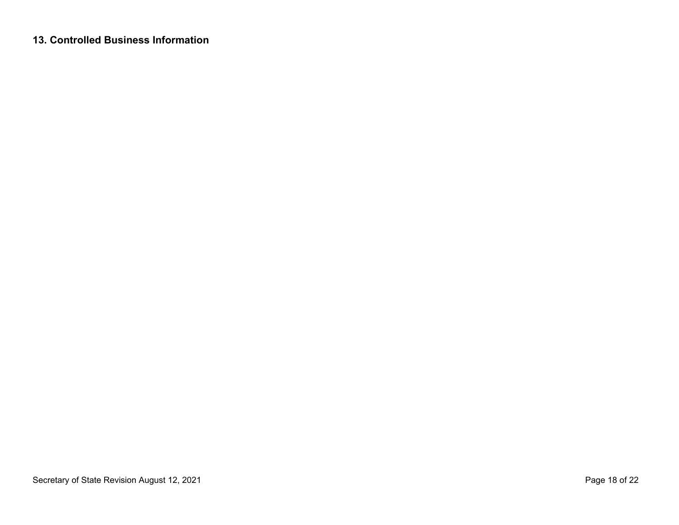### **13. Controlled Business Information**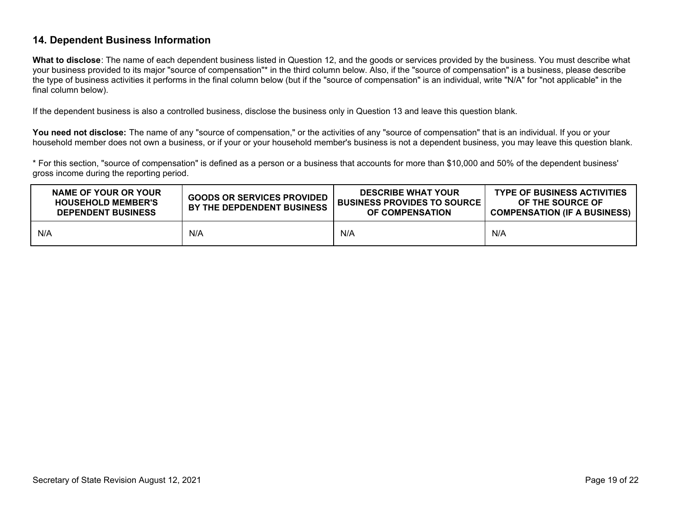#### **14. Dependent Business Information**

**What to disclose**: The name of each dependent business listed in Question 12, and the goods or services provided by the business. You must describe what your business provided to its major "source of compensation"\* in the third column below. Also, if the "source of compensation" is a business, please describe the type of business activities it performs in the final column below (but if the "source of compensation" is an individual, write "N/A" for "not applicable" in the final column below).

If the dependent business is also a controlled business, disclose the business only in Question 13 and leave this question blank.

You need not disclose: The name of any "source of compensation," or the activities of any "source of compensation" that is an individual. If you or your household member does not own a business, or if your or your household member's business is not a dependent business, you may leave this question blank.

\* For this section, "source of compensation" is defined as a person or a business that accounts for more than \$10,000 and 50% of the dependent business' gross income during the reporting period.

| NAME OF YOUR OR YOUR<br><b>HOUSEHOLD MEMBER'S</b><br><b>DEPENDENT BUSINESS</b> | <b>GOODS OR SERVICES PROVIDED</b><br>BY THE DEPDENDENT BUSINESS | <b>DESCRIBE WHAT YOUR</b><br><b>BUSINESS PROVIDES TO SOURCE</b><br>OF COMPENSATION | <b>TYPE OF BUSINESS ACTIVITIES</b><br>OF THE SOURCE OF<br><b>COMPENSATION (IF A BUSINESS)</b> |
|--------------------------------------------------------------------------------|-----------------------------------------------------------------|------------------------------------------------------------------------------------|-----------------------------------------------------------------------------------------------|
| N/A                                                                            | N/A                                                             | N/A                                                                                | N/A                                                                                           |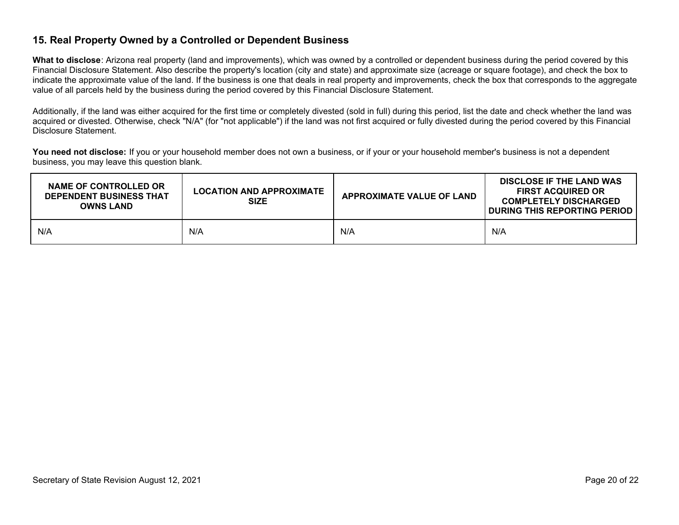#### **15. Real Property Owned by a Controlled or Dependent Business**

**What to disclose**: Arizona real property (land and improvements), which was owned by a controlled or dependent business during the period covered by this Financial Disclosure Statement. Also describe the property's location (city and state) and approximate size (acreage or square footage), and check the box to indicate the approximate value of the land. If the business is one that deals in real property and improvements, check the box that corresponds to the aggregate value of all parcels held by the business during the period covered by this Financial Disclosure Statement.

Additionally, if the land was either acquired for the first time or completely divested (sold in full) during this period, list the date and check whether the land was acquired or divested. Otherwise, check "N/A" (for "not applicable") if the land was not first acquired or fully divested during the period covered by this Financial Disclosure Statement.

You need not disclose: If you or your household member does not own a business, or if your or your household member's business is not a dependent business, you may leave this question blank.

| NAME OF CONTROLLED OR<br><b>DEPENDENT BUSINESS THAT</b><br><b>OWNS LAND</b> | <b>LOCATION AND APPROXIMATE</b><br><b>SIZE</b> | <b>APPROXIMATE VALUE OF LAND</b> | <b>DISCLOSE IF THE LAND WAS</b><br><b>FIRST ACQUIRED OR</b><br><b>COMPLETELY DISCHARGED</b><br><b>DURING THIS REPORTING PERIOD</b> |
|-----------------------------------------------------------------------------|------------------------------------------------|----------------------------------|------------------------------------------------------------------------------------------------------------------------------------|
| N/A                                                                         | N/A                                            | N/A                              | N/A                                                                                                                                |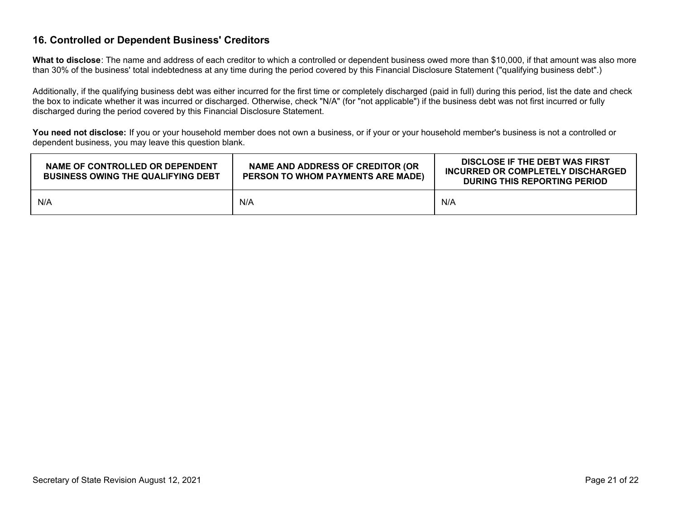#### **16. Controlled or Dependent Business' Creditors**

**What to disclose**: The name and address of each creditor to which a controlled or dependent business owed more than \$10,000, if that amount was also more than 30% of the business' total indebtedness at any time during the period covered by this Financial Disclosure Statement ("qualifying business debt".)

Additionally, if the qualifying business debt was either incurred for the first time or completely discharged (paid in full) during this period, list the date and check the box to indicate whether it was incurred or discharged. Otherwise, check "N/A" (for "not applicable") if the business debt was not first incurred or fully discharged during the period covered by this Financial Disclosure Statement.

You need not disclose: If you or your household member does not own a business, or if your or your household member's business is not a controlled or dependent business, you may leave this question blank.

| NAME OF CONTROLLED OR DEPENDENT<br><b>BUSINESS OWING THE QUALIFYING DEBT</b> | NAME AND ADDRESS OF CREDITOR (OR<br>PERSON TO WHOM PAYMENTS ARE MADE) | DISCLOSE IF THE DEBT WAS FIRST<br>INCURRED OR COMPLETELY DISCHARGED<br><b>DURING THIS REPORTING PERIOD</b> |  |
|------------------------------------------------------------------------------|-----------------------------------------------------------------------|------------------------------------------------------------------------------------------------------------|--|
| N/A                                                                          | N/A                                                                   | N/A                                                                                                        |  |